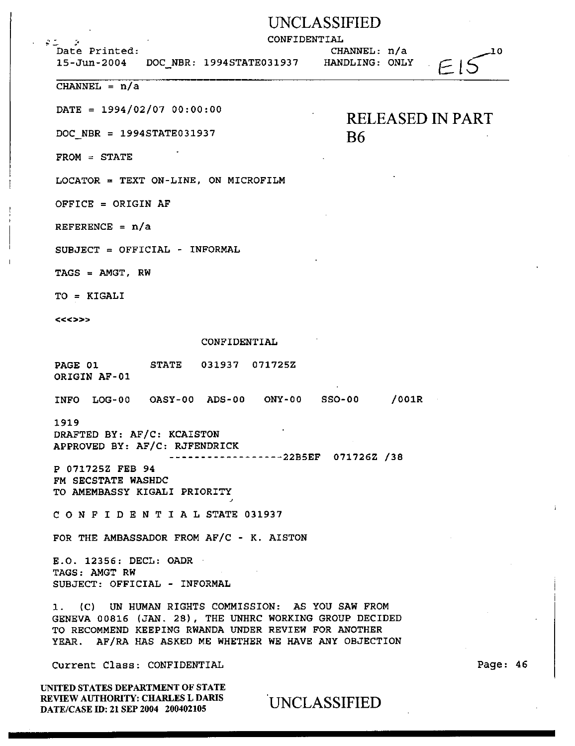### UNCLASSIFIED

CONFIDENTIAL

 $2.5 - 5$ .<br>Date Printed:

15-Jun-2004 DOC NBR: 1994STATE031937 HANDLING: ONLY

CHANNEL: n/a

B6

RELEASED IN PART

-10

 $F \in \mathbb{R}$ 

CHANNEL =  $n/a$ 

 $\text{DATE} = 1994/02/07 00:00:00$ 

DOC NBR = 1994STATE031937

FROM = STATE

LOCATOR = TEXT ON-LINE, ON MICROFILM

OFFICE = ORIGIN AF

REFERENCE =  $n/a$ 

SUBJECT = OFFICIAL - INFORMAL

TAGS = AMGT, RW

TO = KIGALI

<<<>>>

CONFIDENTIAL

PAGE 01 ORIGIN AF-01 STATE 031937 071725Z

INFO LOG-00 OASY-00 ADS-00 ONY-00 SS0-00 /001R

1919

DRAFTED BY: AF/C: KCAISTON APPROVED BY: AF/C: RJFENDRICK

------------------22BSEF 071726Z /38

P 071725Z FEB 94 FM SECSTATE WASHDC TO AMEMBASSY KIGALI PRIORITY

C 0 N F I D E N T I A L STATE 031937

FOR THE AMBASSADOR FROM AF/C - K. AlSTON

E.O. 12356: DECL: OADR TAGS: AMGT RW SUBJECT: OFFICIAL - INFORMAL

1. (C) UN HUMAN RIGHTS COMMISSION: AS YOU SAW FROM GENEVA 00816 (JAN. 28), THE UNHRC WORKING GROUP DECIDED TO RECOMMEND KEEPING RWANDA UNDER REVIEW FOR ANOTHER YEAR. AF/RA HAS ASKED ME WHETHER WE HAVE ANY OBJECTION

Current Class: CONFIDENTIAL

UNITED STATES DEPARTMENT OF STATE REVIEW AUTHORITY: CHARLES L DARIS REVIEW AUTHORITY: CHARLES L DARIS . UNCLASSIFIED<br>DATE/CASE ID: 21 SEP 2004 200402105 . UNCLASSIFIED

Page: 46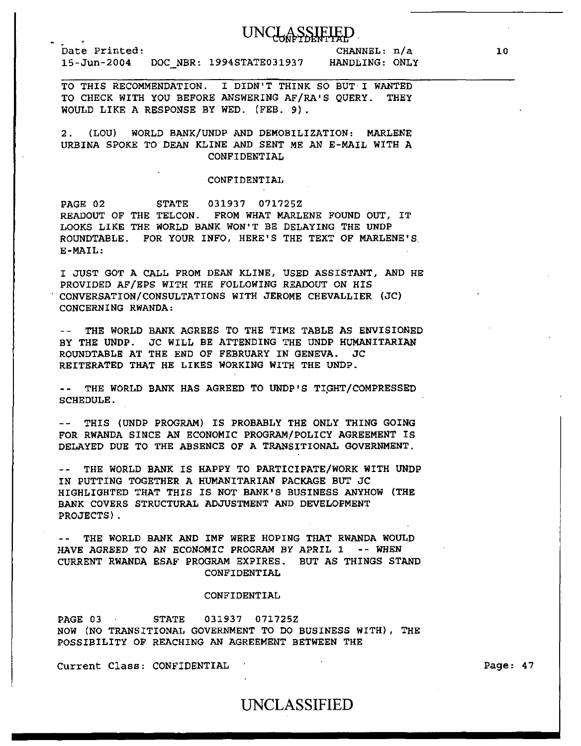## UNCLASSIFIED

Date Printed: 15-Jun-2004 DOC\_NBR: 1994STATE031937

CHANNEL: n/a HANDLING: ONLY

TO THIS RECOMMENDATION. I DIDN'T THINK SO BUT I WANTED TO CHECK WITH YOU BEFORE ANSWERING AF/RA'S QUERY. THEY WOULD LIKE A RESPONSE BY WED. (FEB. 9).

2. (LOU) WORLD BANK/UNDP AND DEMOBILIZATION: MARLENE URBINA SPOKE TO DEAN KLINE AND SENT ME AN E-MAIL WITH A CONFIDENTIAL

#### CONFIDENTIAL

PAGE 02 STATE 031937 071725Z READOUT OF THE TELCON. FROM WHAT MARLENE FOUND OUT, IT LOOKS LIKE THE WORLD BANK WON'T BE DELAYING THE UNDP ROUNDTABLE. FOR YOUR INFO, HERE'S THE TEXT OF MARLENE'S. E-MAIL:

I JUST GOT A CALL FROM DEAN KLINE, USED ASSISTANT, AND HE PROVIDED AF/EPS WITH THE FOLLOWING READOUT ON HIS CONVERSATION/CONSULTATIONS WITH JEROME CHEVALLIER (JC) CONCERNING RWANDA:

THE WORLD BANK AGREES TO THE TIME TABLE AS ENVISIONED BY THE UNDP. JC WILL BE ATTENDING THE UNDP HUMANITARIAN ROUNDTABLE AT THE END OF FEBRUARY IN GENEVA. JC REITERATED THAT HE LIKES WORKING WITH THE UNDP.

-- THE WORLD BANK HAS AGREED TO UNDP'S TIGHT/COMPRESSED SCHEDULE.

THIS (UNDP PROGRAM) IS PROBABLY THE ONLY THING GOING FOR RWANDA SINCE AN ECONOMIC PROGRAM/POLICY AGREEMENT IS DELAYED DUE TO THE ABSENCE OF A TRANSITIONAL GOVERNMENT.

-- THE WORLD BANK IS HAPPY TO PARTICIPATE/WORK WITH UNDP IN PUTTING TOGETHER A HUMANITARIAN PACKAGE BUT JC HIGHLIGHTED THAT THIS IS NOT BANK'S BUSINESS ANYHOW (THE BANK COVERS STRUCTURAL ADJUSTMENT AND DEVELOPMENT PROJECTS).

-- THE WORLD BANK AND IMF WERE HOPING THAT RWANDA WOULD HAVE AGREED TO AN ECONOMIC PROGRAM *BY* APRIL 1 -- WHEN CURRENT RWANDA ESAF PROGRAM EXPIRES. BUT AS THINGS STAND CONFIDENTIAL

#### CONFIDENTIAL

PAGE 03 STATE 031937 071725Z NOW (NO TRANSITIONAL GOVERNMENT TO DO BUSINESS WITH), THE POSSIBILITY OF REACHING AN AGREEMENT BETWEEN THE

Current Class: CONFIDENTIAL

Page: 47

### UNCLASSIFIED

10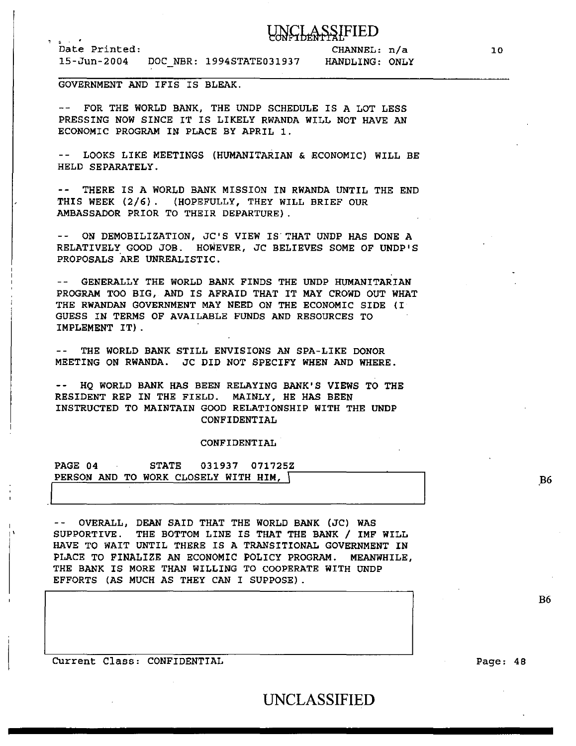## **LASSIFIED**

Date Printed: 15-Jun-2004 DOC NBR: 1994STATE031937 HANDLING: ONLY CHANNEL: n/a

GOVERNMENT AND IFIS IS BLEAK.

-- FOR THE WORLD BANK, THE UNDP SCHEDULE IS A LOT LESS PRESSING NOW SINCE IT IS LIKELY RWANDA WILL NOT HAVE AN ECONOMIC PROGRAM IN PLACE BY APRIL 1.

-- LOOKS LIKE MEETINGS (HUMANITARIAN & ECONOMIC) WILL BE HELD SEPARATELY.

-- THERE IS A WORLD BANK MISSION IN RWANDA UNTIL THE END THIS WEEK (2/6). (HOPEFULLY, THEY WILL BRIEF OUR AMBASSADOR PRIOR TO THEIR DEPARTURE) .

-- ON DEMOBILIZATION, JC'S VIEW IS THAT UNDP HAS DONE A RELATIVELY GOOD JOB. HOWEVER, JC BELIEVES SOME OF UNDP'S PROPOSALS ARE UNREALISTIC.

-- GENERALLY THE WORLD BANK FINDS THE UNDP HUMANITARIAN PROGRAM TOO BIG, AND IS AFRAID THAT IT MAY CROWD OUT WHAT THE RWANDAN GOVERNMENT MAY NEED ON THE ECONOMIC SIDE (I GUESS IN TERMS OF AVAILABLE FUNDS AND RESOURCES TO IMPLEMENT IT) .

-- THE WORLD BANK STILL ENVISIONS AN SPA-LIKE DONOR MEETING ON RWANDA. JC DID NOT SPECIFY WHEN AND WHERE.

-- HO WORLD BANK HAS BEEN RELAYING BANK'S VIEWS TO THE RESIDENT REP IN THE FIELD. MAINLY, HE HAS BEEN INSTRUCTED TO MAINTAIN GOOD RELATIONSHIP WITH THE UNDP CONFIDENTIAL

#### CONFIDENTIAL

I PAGE 04 STATE 031937 071725Z PERSON AND TO WORK CLOSELY WITH HIM,  $\langle$ 

OVERALL, DEAN SAID THAT THE WORLD BANK (JC) WAS SUPPORTIVE. THE BOTTOM LINE IS THAT THE BANK / IMF WILL HAVE TO WAIT UNTIL THERE IS A TRANSITIONAL GOVERNMENT IN PLACE TO FINALIZE AN ECONOMIC POLICY PROGRAM. MEANWHILE, THE BANK IS MORE THAN WILLING TO COOPERATE WITH UNDP EFFORTS (AS MUCH AS THEY CAN I SUPPOSE) .

Current Class: CONFIDENTIAL

I I'

Page: 48

.B6

B6

UNCLASSIFIED

10